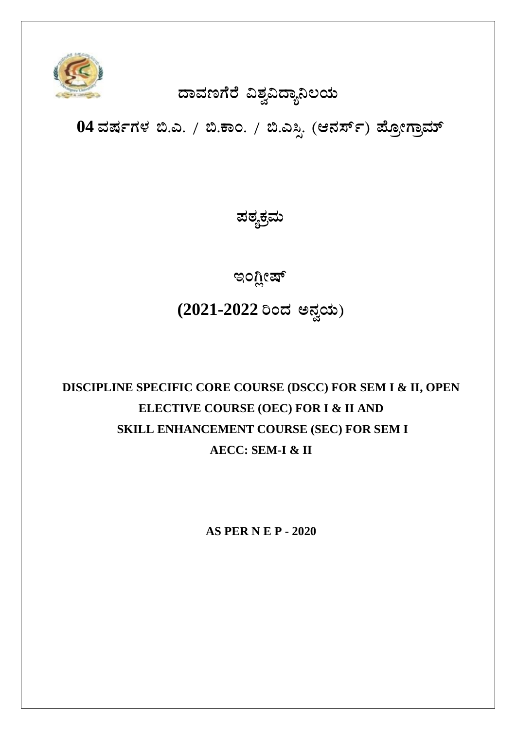

# ಹಾವಣಗೆರೆ ವಿಶ್ವವಿದ್ಯಾನಿಲಯ

04 ವರ್ಷಗಳ ಬಿ.ಎ. / ಬಿ.ಕಾಂ. / ಬಿ.ಎಸ್ಸಿ. (ಆನರ್ಸ್) ಪ್ರೋಗ್ರಾಮ್

<u>ಪಠ್ಯಕ್ರಮ</u>

**EAVèõï**

**(2021-2022 jAzÀ C£ÀéAiÀÄ)**

# **DISCIPLINE SPECIFIC CORE COURSE (DSCC) FOR SEM I & II, OPEN ELECTIVE COURSE (OEC) FOR I & II AND SKILL ENHANCEMENT COURSE (SEC) FOR SEM I AECC: SEM-I & II**

**AS PER N E P - 2020**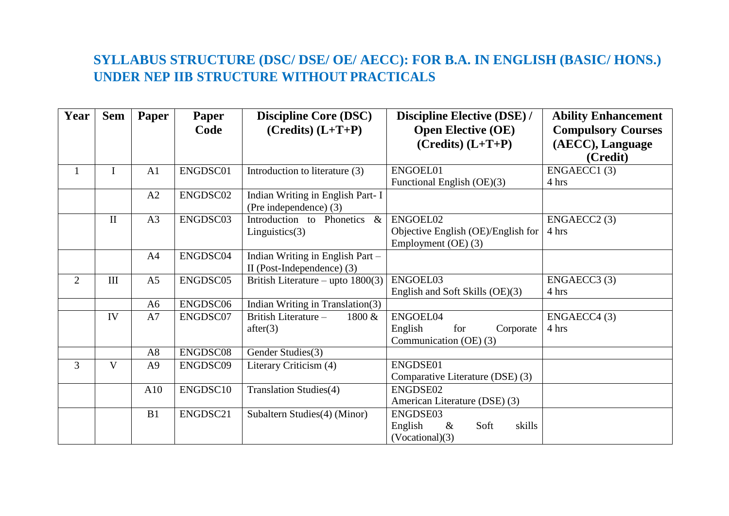## **SYLLABUS STRUCTURE (DSC/ DSE/ OE/ AECC): FOR B.A. IN ENGLISH (BASIC/ HONS.) UNDER NEP IIB STRUCTURE WITHOUT PRACTICALS**

| Year         | <b>Sem</b>   | Paper          | Paper    | <b>Discipline Core (DSC)</b>        | <b>Discipline Elective (DSE) /</b> | <b>Ability Enhancement</b> |
|--------------|--------------|----------------|----------|-------------------------------------|------------------------------------|----------------------------|
|              |              |                | Code     | $(Credits) (L+T+P)$                 | <b>Open Elective (OE)</b>          | <b>Compulsory Courses</b>  |
|              |              |                |          |                                     | $(Credits) (L+T+P)$                | (AECC), Language           |
|              |              |                |          |                                     |                                    | (Credit)                   |
| $\mathbf{1}$ | I            | A <sub>1</sub> | ENGDSC01 | Introduction to literature (3)      | ENGOEL01                           | ENGAECC1(3)                |
|              |              |                |          |                                     | Functional English (OE)(3)         | 4 hrs                      |
|              |              | A2             | ENGDSC02 | Indian Writing in English Part-I    |                                    |                            |
|              |              |                |          | (Pre independence) (3)              |                                    |                            |
|              | $\mathbf{I}$ | A3             | ENGDSC03 | Introduction to Phonetics<br>$\&$   | ENGOEL02                           | ENGAECC <sub>2</sub> (3)   |
|              |              |                |          | Linguistics(3)                      | Objective English (OE)/English for | 4 hrs                      |
|              |              |                |          |                                     | Employment (OE) (3)                |                            |
|              |              | A4             | ENGDSC04 | Indian Writing in English Part -    |                                    |                            |
|              |              |                |          | II (Post-Independence) $(3)$        |                                    |                            |
| 2            | III          | A <sub>5</sub> | ENGDSC05 | British Literature – upto $1800(3)$ | ENGOEL03                           | ENGAECC3 (3)               |
|              |              |                |          |                                     | English and Soft Skills (OE)(3)    | 4 hrs                      |
|              |              | A <sub>6</sub> | ENGDSC06 | Indian Writing in Translation(3)    |                                    |                            |
|              | IV           | A7             | ENGDSC07 | British Literature-<br>1800 &       | ENGOEL04                           | ENGAECC4 (3)               |
|              |              |                |          | after(3)                            | English<br>for<br>Corporate        | 4 hrs                      |
|              |              |                |          |                                     | Communication (OE) (3)             |                            |
|              |              | A8             | ENGDSC08 | Gender Studies(3)                   |                                    |                            |
| 3            | V            | A <sup>9</sup> | ENGDSC09 | Literary Criticism (4)              | ENGDSE01                           |                            |
|              |              |                |          |                                     | Comparative Literature (DSE) (3)   |                            |
|              |              | A10            | ENGDSC10 | <b>Translation Studies(4)</b>       | ENGDSE02                           |                            |
|              |              |                |          |                                     | American Literature (DSE) (3)      |                            |
|              |              | B1             | ENGDSC21 | Subaltern Studies(4) (Minor)        | ENGDSE03                           |                            |
|              |              |                |          |                                     | English<br>Soft<br>skills<br>$\&$  |                            |
|              |              |                |          |                                     | (Vocational)(3)                    |                            |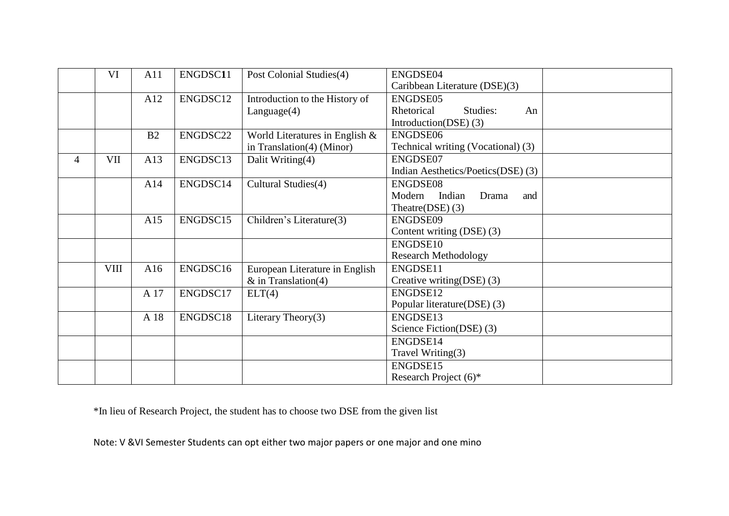|                | VI          | A11  | ENGDSC11 | Post Colonial Studies(4)       | ENGDSE04                           |  |
|----------------|-------------|------|----------|--------------------------------|------------------------------------|--|
|                |             |      |          |                                | Caribbean Literature (DSE)(3)      |  |
|                |             | A12  | ENGDSC12 | Introduction to the History of | ENGDSE05                           |  |
|                |             |      |          | Language(4)                    | Rhetorical<br>Studies:<br>An       |  |
|                |             |      |          |                                | Introduction(DSE) $(3)$            |  |
|                |             | B2   | ENGDSC22 | World Literatures in English & | ENGDSE06                           |  |
|                |             |      |          | in Translation(4) (Minor)      | Technical writing (Vocational) (3) |  |
| $\overline{4}$ | <b>VII</b>  | A13  | ENGDSC13 | Dalit Writing(4)               | ENGDSE07                           |  |
|                |             |      |          |                                | Indian Aesthetics/Poetics(DSE) (3) |  |
|                |             | A14  | ENGDSC14 | Cultural Studies(4)            | ENGDSE08                           |  |
|                |             |      |          |                                | Modern<br>Indian<br>Drama<br>and   |  |
|                |             |      |          |                                | Theatre(DSE) $(3)$                 |  |
|                |             | A15  | ENGDSC15 | Children's Literature(3)       | ENGDSE09                           |  |
|                |             |      |          |                                | Content writing (DSE) (3)          |  |
|                |             |      |          |                                | ENGDSE10                           |  |
|                |             |      |          |                                | <b>Research Methodology</b>        |  |
|                | <b>VIII</b> | A16  | ENGDSC16 | European Literature in English | ENGDSE11                           |  |
|                |             |      |          | $&$ in Translation(4)          | Creative writing $(DSE)$ (3)       |  |
|                |             | A 17 | ENGDSC17 | ELT(4)                         | ENGDSE12                           |  |
|                |             |      |          |                                | Popular literature(DSE) (3)        |  |
|                |             | A 18 | ENGDSC18 | Literary Theory $(3)$          | ENGDSE13                           |  |
|                |             |      |          |                                | Science Fiction(DSE) $(3)$         |  |
|                |             |      |          |                                | ENGDSE14                           |  |
|                |             |      |          |                                | Travel Writing $(3)$               |  |
|                |             |      |          |                                | ENGDSE15                           |  |
|                |             |      |          |                                | Research Project $(6)^*$           |  |

\*In lieu of Research Project, the student has to choose two DSE from the given list

Note: V &VI Semester Students can opt either two major papers or one major and one mino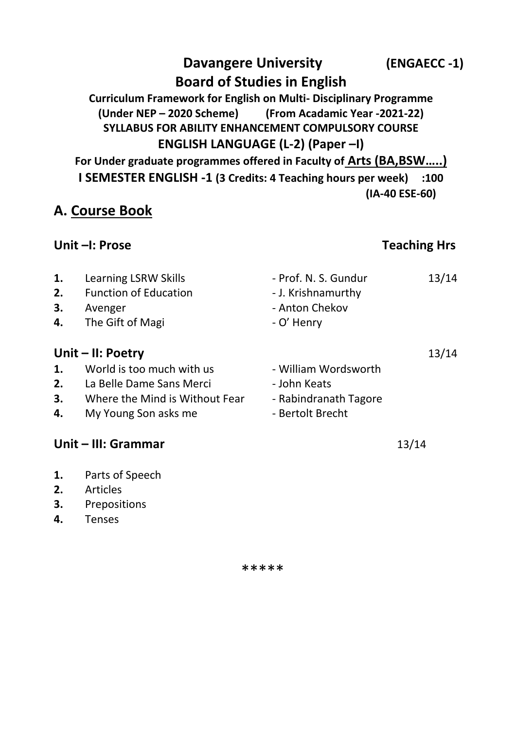# **Davangere University (ENGAECC -1) Board of Studies in English**

**Curriculum Framework for English on Multi- Disciplinary Programme (Under NEP – 2020 Scheme) (From Acadamic Year -2021-22) SYLLABUS FOR ABILITY ENHANCEMENT COMPULSORY COURSE ENGLISH LANGUAGE (L-2) (Paper –I)**

**For Under graduate programmes offered in Faculty of Arts (BA,BSW…..) I SEMESTER ENGLISH -1 (3 Credits: 4 Teaching hours per week) :100 (IA-40 ESE-60)**

## **A. Course Book**

#### Unit –I: Prose Teaching Hrs

- **1.** Learning LSRW Skills Prof. N. S. Gundur 13/14 **2.** Function of Education **- J. Krishnamurthy 3.** Avenger **- Anton Chekov 4.** The Gift of Magi **- O'** Henry **Unit – II: Poetry** 13/14 **1.** World is too much with us - William Wordsworth **2.** La Belle Dame Sans Merci - John Keats **3.** Where the Mind is Without Fear - Rabindranath Tagore
- **4.** My Young Son asks me Bertolt Brecht

## **Unit – III: Grammar** 13/14

- **1.** Parts of Speech
- **2.** Articles
- **3.** Prepositions
- **4.** Tenses

- 
-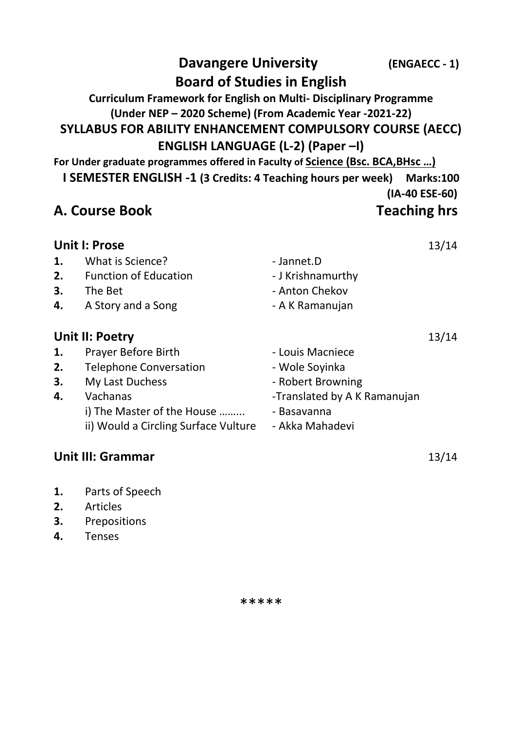|    | <b>Davangere University</b>                                                   |                              | (ENGAECC - 1)  |
|----|-------------------------------------------------------------------------------|------------------------------|----------------|
|    | <b>Board of Studies in English</b>                                            |                              |                |
|    | <b>Curriculum Framework for English on Multi- Disciplinary Programme</b>      |                              |                |
|    | (Under NEP - 2020 Scheme) (From Academic Year -2021-22)                       |                              |                |
|    | SYLLABUS FOR ABILITY ENHANCEMENT COMPULSORY COURSE (AECC)                     |                              |                |
|    | <b>ENGLISH LANGUAGE (L-2) (Paper -I)</b>                                      |                              |                |
|    | For Under graduate programmes offered in Faculty of Science (Bsc. BCA, BHsc ) |                              |                |
|    | I SEMESTER ENGLISH -1 (3 Credits: 4 Teaching hours per week) Marks: 100       |                              |                |
|    |                                                                               |                              | (IA-40 ESE-60) |
|    | <b>A. Course Book</b>                                                         | <b>Teaching hrs</b>          |                |
|    |                                                                               |                              |                |
|    | <b>Unit I: Prose</b>                                                          |                              | 13/14          |
| 1. | What is Science?                                                              | - Jannet.D                   |                |
|    | 2. Function of Education                                                      | - J Krishnamurthy            |                |
| 3. | The Bet                                                                       | - Anton Chekov               |                |
| 4. | A Story and a Song                                                            | - A K Ramanujan              |                |
|    | <b>Unit II: Poetry</b>                                                        |                              | 13/14          |
| 1. | <b>Prayer Before Birth</b>                                                    | - Louis Macniece             |                |
| 2. | <b>Telephone Conversation</b>                                                 | - Wole Soyinka               |                |
| 3. | My Last Duchess                                                               | - Robert Browning            |                |
| 4. | Vachanas                                                                      | -Translated by A K Ramanujan |                |
|    | i) The Master of the House                                                    | - Basavanna                  |                |
|    | ii) Would a Circling Surface Vulture                                          | - Akka Mahadevi              |                |
|    |                                                                               |                              |                |

### **Unit III: Grammar** 13/14

- **1.** Parts of Speech **2.** Articles
- **3.** Prepositions
- **4.** Tenses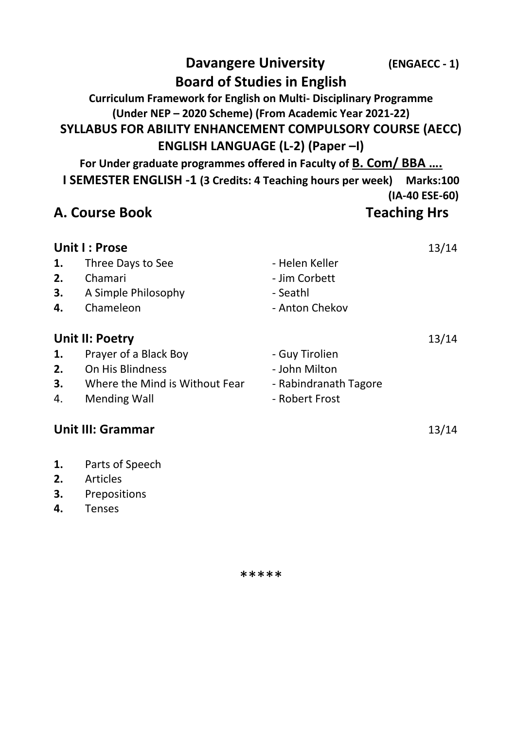|    | <b>Davangere University</b>                                                                                                                                                                                                                                                                                                               |                                          | (ENGAECC - 1)       |
|----|-------------------------------------------------------------------------------------------------------------------------------------------------------------------------------------------------------------------------------------------------------------------------------------------------------------------------------------------|------------------------------------------|---------------------|
|    |                                                                                                                                                                                                                                                                                                                                           | <b>Board of Studies in English</b>       |                     |
|    | <b>Curriculum Framework for English on Multi- Disciplinary Programme</b><br>(Under NEP - 2020 Scheme) (From Academic Year 2021-22)<br>SYLLABUS FOR ABILITY ENHANCEMENT COMPULSORY COURSE (AECC)<br>For Under graduate programmes offered in Faculty of B. Com/ BBA<br><b>I SEMESTER ENGLISH -1 (3 Credits: 4 Teaching hours per week)</b> | <b>ENGLISH LANGUAGE (L-2) (Paper -I)</b> | Marks:100           |
|    |                                                                                                                                                                                                                                                                                                                                           |                                          | (IA-40 ESE-60)      |
|    | A. Course Book                                                                                                                                                                                                                                                                                                                            |                                          | <b>Teaching Hrs</b> |
|    | <b>Unit I: Prose</b>                                                                                                                                                                                                                                                                                                                      |                                          | 13/14               |
| 1. | Three Days to See                                                                                                                                                                                                                                                                                                                         | - Helen Keller                           |                     |
| 2. | Chamari                                                                                                                                                                                                                                                                                                                                   | - Jim Corbett                            |                     |
|    | 3. A Simple Philosophy                                                                                                                                                                                                                                                                                                                    | - Seathl                                 |                     |
| 4. | Chameleon                                                                                                                                                                                                                                                                                                                                 | - Anton Chekov                           |                     |
|    | Unit II: Poetry                                                                                                                                                                                                                                                                                                                           |                                          | 13/14               |
| 1. | Prayer of a Black Boy                                                                                                                                                                                                                                                                                                                     | - Guy Tirolien                           |                     |
| 2. | On His Blindness                                                                                                                                                                                                                                                                                                                          | - John Milton                            |                     |
| 3. | Where the Mind is Without Fear                                                                                                                                                                                                                                                                                                            | - Rabindranath Tagore                    |                     |
| 4. | <b>Mending Wall</b>                                                                                                                                                                                                                                                                                                                       | - Robert Frost                           |                     |

## **Unit III: Grammar** 13/14

- **1.** Parts of Speech
- **2.** Articles
- **3.** Prepositions<br>**4.** Tenses
- **4.** Tenses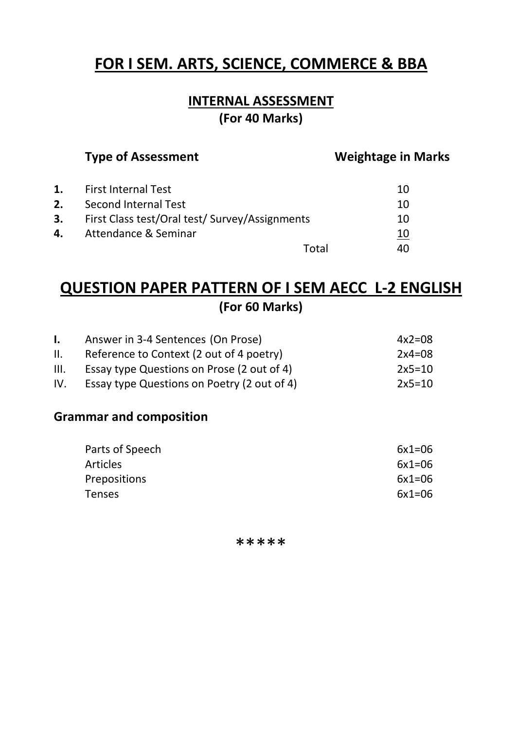# **FOR I SEM. ARTS, SCIENCE, COMMERCE & BBA**

### **INTERNAL ASSESSMENT (For 40 Marks)**

#### **Type of Assessment Weightage in Marks**

|    | <b>1.</b> First Internal Test                           |       | 10         |
|----|---------------------------------------------------------|-------|------------|
| 2. | Second Internal Test                                    |       | 10         |
|    | <b>3.</b> First Class test/Oral test/Survey/Assignments |       | 10         |
|    | 4. Attendance & Seminar                                 |       | <u> 10</u> |
|    |                                                         | Total | 40         |

## **QUESTION PAPER PATTERN OF I SEM AECC L-2 ENGLISH (For 60 Marks)**

| Ъ.   | Answer in 3-4 Sentences (On Prose)          | $4x2=08$ |
|------|---------------------------------------------|----------|
| Н.   | Reference to Context (2 out of 4 poetry)    | $2x4=08$ |
| III. | Essay type Questions on Prose (2 out of 4)  | $2x5=10$ |
| IV.  | Essay type Questions on Poetry (2 out of 4) | $2x5=10$ |

#### **Grammar and composition**

| $6x1=06$ |
|----------|
| $6x1=06$ |
| $6x1=06$ |
| $6x1=06$ |
|          |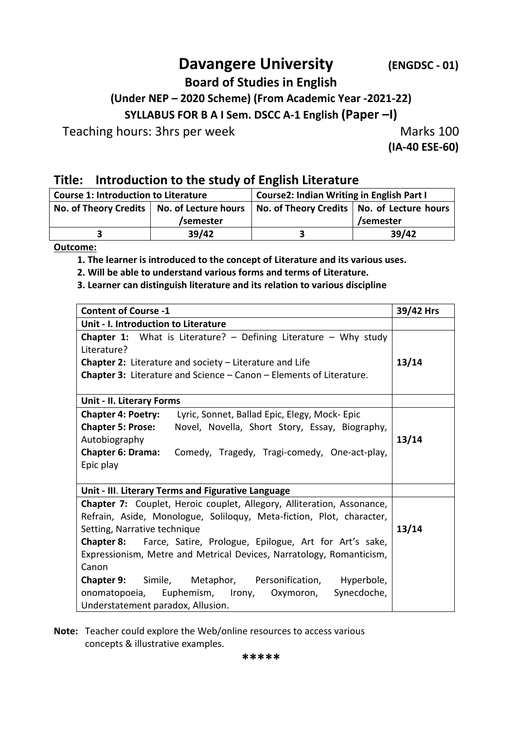## **Davangere University (ENGDSC - 01)**

**Board of Studies in English**

**(Under NEP – 2020 Scheme) (From Academic Year -2021-22)** 

**SYLLABUS FOR B A I Sem. DSCC A-1 English (Paper –I)**

Teaching hours: 3hrs per week Marks 100

 **(IA-40 ESE-60)**

#### **Title: Introduction to the study of English Literature**

| <b>Course 1: Introduction to Literature</b>  |           | Course2: Indian Writing in English Part I    |           |
|----------------------------------------------|-----------|----------------------------------------------|-----------|
| No. of Theory Credits   No. of Lecture hours |           | No. of Theory Credits   No. of Lecture hours |           |
|                                              | /semester |                                              | /semester |
|                                              | 39/42     |                                              | 39/42     |

**Outcome:**

**1. The learner is introduced to the concept of Literature and its various uses.**

**2. Will be able to understand various forms and terms of Literature.** 

**3. Learner can distinguish literature and its relation to various discipline**

| <b>Content of Course -1</b>                                                 | 39/42 Hrs |
|-----------------------------------------------------------------------------|-----------|
| Unit - I. Introduction to Literature                                        |           |
| <b>Chapter 1:</b> What is Literature? $-$ Defining Literature $-$ Why study |           |
| Literature?                                                                 |           |
| <b>Chapter 2:</b> Literature and society $-$ Literature and Life            | 13/14     |
| Chapter 3: Literature and Science - Canon - Elements of Literature.         |           |
|                                                                             |           |
| <b>Unit - II. Literary Forms</b>                                            |           |
| <b>Chapter 4: Poetry:</b> Lyric, Sonnet, Ballad Epic, Elegy, Mock-Epic      |           |
| <b>Chapter 5: Prose:</b> Novel, Novella, Short Story, Essay, Biography,     |           |
| Autobiography                                                               | 13/14     |
| Chapter 6: Drama: Comedy, Tragedy, Tragi-comedy, One-act-play,              |           |
| Epic play                                                                   |           |
|                                                                             |           |
| Unit - III. Literary Terms and Figurative Language                          |           |
| Chapter 7: Couplet, Heroic couplet, Allegory, Alliteration, Assonance,      |           |
| Refrain, Aside, Monologue, Soliloquy, Meta-fiction, Plot, character,        |           |
| Setting, Narrative technique                                                | 13/14     |
| <b>Chapter 8:</b> Farce, Satire, Prologue, Epilogue, Art for Art's sake,    |           |
| Expressionism, Metre and Metrical Devices, Narratology, Romanticism,        |           |
| Canon                                                                       |           |
| <b>Chapter 9:</b> Simile, Metaphor, Personification, Hyperbole,             |           |
| Synecdoche,<br>onomatopoeia, Euphemism, Irony, Oxymoron,                    |           |
| Understatement paradox, Allusion.                                           |           |

**Note:** Teacher could explore the Web/online resources to access various concepts & illustrative examples.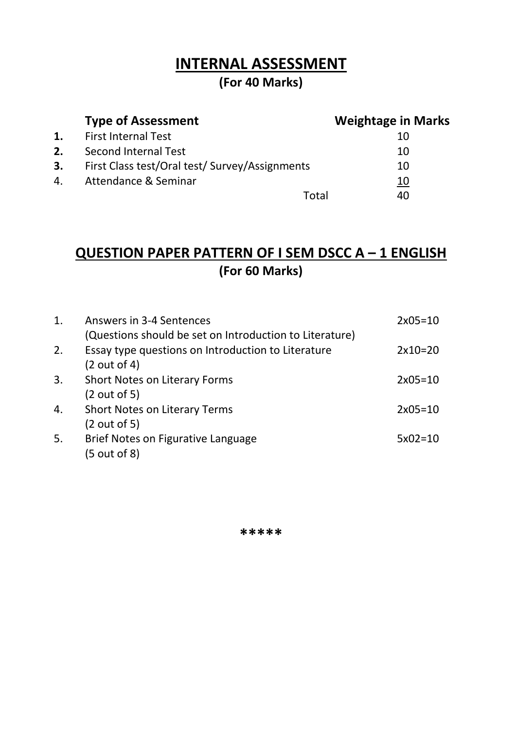## **(For 40 Marks)**

|    | <b>Type of Assessment</b>                      | <b>Weightage in Marks</b> |
|----|------------------------------------------------|---------------------------|
| 1. | <b>First Internal Test</b>                     | 10                        |
| 2. | Second Internal Test                           | 10                        |
| 3. | First Class test/Oral test/ Survey/Assignments | 10                        |
| 4. | Attendance & Seminar                           | 10                        |
|    | Total                                          | 40                        |

## **QUESTION PAPER PATTERN OF I SEM DSCC A – 1 ENGLISH (For 60 Marks)**

| $\mathbf{1}$ . | <b>Answers in 3-4 Sentences</b>                         | $2x05=10$ |
|----------------|---------------------------------------------------------|-----------|
|                | (Questions should be set on Introduction to Literature) |           |
| 2.             | Essay type questions on Introduction to Literature      | $2x10=20$ |
|                | (2 out of 4)                                            |           |
| 3.             | <b>Short Notes on Literary Forms</b>                    | $2x05=10$ |
|                | (2 out of 5)                                            |           |
| 4.             | <b>Short Notes on Literary Terms</b>                    | $2x05=10$ |
|                | (2 out of 5)                                            |           |
| 5.             | Brief Notes on Figurative Language                      | $5x02=10$ |
|                | (5 out of 8)                                            |           |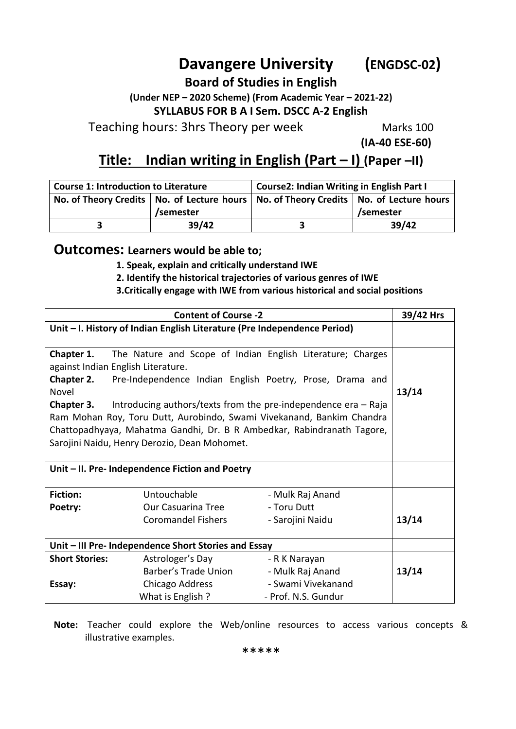# **Davangere University (ENGDSC-02)**

**Board of Studies in English**

**(Under NEP – 2020 Scheme) (From Academic Year – 2021-22) SYLLABUS FOR B A I Sem. DSCC A-2 English**

Teaching hours: 3hrs Theory per week Marks 100

 **(IA-40 ESE-60)**

## **Title: Indian writing in English (Part – I) (Paper –II)**

| <b>Course 1: Introduction to Literature</b>                                                 |           | <b>Course2: Indian Writing in English Part I</b> |           |
|---------------------------------------------------------------------------------------------|-----------|--------------------------------------------------|-----------|
| No. of Theory Credits   No. of Lecture hours   No. of Theory Credits   No. of Lecture hours |           |                                                  |           |
|                                                                                             | /semester |                                                  | /semester |
|                                                                                             | 39/42     |                                                  | 39/42     |

#### **Outcomes: Learners would be able to;**

- **1. Speak, explain and critically understand IWE**
- **2. Identify the historical trajectories of various genres of IWE**
- **3.Critically engage with IWE from various historical and social positions**

|                                                      | <b>Content of Course -2</b>                                                        |                     | 39/42 Hrs |
|------------------------------------------------------|------------------------------------------------------------------------------------|---------------------|-----------|
|                                                      | Unit - I. History of Indian English Literature (Pre Independence Period)           |                     |           |
|                                                      |                                                                                    |                     |           |
|                                                      | <b>Chapter 1.</b> The Nature and Scope of Indian English Literature; Charges       |                     |           |
|                                                      | against Indian English Literature.                                                 |                     |           |
|                                                      | Chapter 2. Pre-Independence Indian English Poetry, Prose, Drama and                |                     |           |
| Novel                                                |                                                                                    |                     | 13/14     |
|                                                      | <b>Chapter 3.</b> Introducing authors/texts from the pre-independence era $-$ Raja |                     |           |
|                                                      | Ram Mohan Roy, Toru Dutt, Aurobindo, Swami Vivekanand, Bankim Chandra              |                     |           |
|                                                      | Chattopadhyaya, Mahatma Gandhi, Dr. B R Ambedkar, Rabindranath Tagore,             |                     |           |
|                                                      | Sarojini Naidu, Henry Derozio, Dean Mohomet.                                       |                     |           |
|                                                      |                                                                                    |                     |           |
| Unit - II. Pre- Independence Fiction and Poetry      |                                                                                    |                     |           |
|                                                      |                                                                                    |                     |           |
| <b>Fiction:</b>                                      | Untouchable                                                                        | - Mulk Raj Anand    |           |
| Poetry:                                              | Our Casuarina Tree                                                                 | - Toru Dutt         |           |
|                                                      | Coromandel Fishers                                                                 | - Sarojini Naidu    | 13/14     |
|                                                      |                                                                                    |                     |           |
| Unit - III Pre- Independence Short Stories and Essay |                                                                                    |                     |           |
| <b>Short Stories:</b>                                | Astrologer's Day                                                                   | - R K Narayan       |           |
|                                                      | Barber's Trade Union                                                               | - Mulk Raj Anand    | 13/14     |
| Essay:                                               | Chicago Address                                                                    | - Swami Vivekanand  |           |
|                                                      | What is English ?                                                                  | - Prof. N.S. Gundur |           |

**Note:** Teacher could explore the Web/online resources to access various concepts & illustrative examples.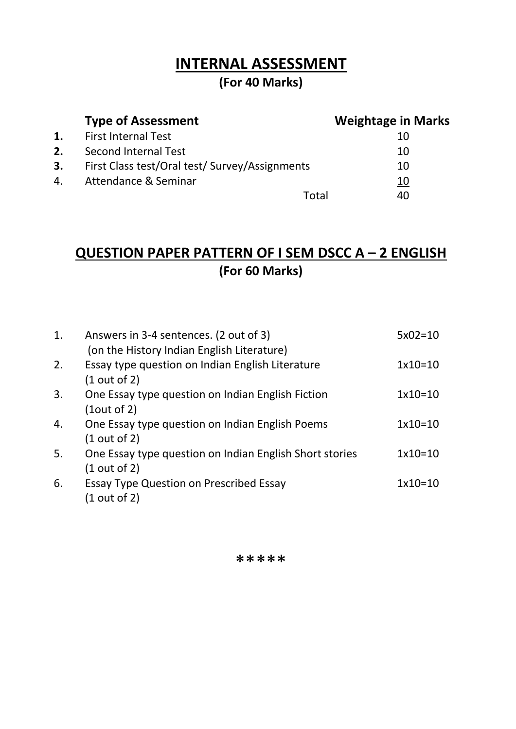## **(For 40 Marks)**

|    | <b>Type of Assessment</b>                      | <b>Weightage in Marks</b> |
|----|------------------------------------------------|---------------------------|
| 1. | <b>First Internal Test</b>                     | 10                        |
| 2. | Second Internal Test                           | 10                        |
| 3. | First Class test/Oral test/ Survey/Assignments | 10                        |
| 4. | Attendance & Seminar                           | 10                        |
|    | Total                                          | 40                        |

## **QUESTION PAPER PATTERN OF I SEM DSCC A – 2 ENGLISH (For 60 Marks)**

| 1. | Answers in 3-4 sentences. (2 out of 3)<br>(on the History Indian English Literature) | $5x02=10$ |
|----|--------------------------------------------------------------------------------------|-----------|
| 2. | Essay type question on Indian English Literature<br>(1 out of 2)                     | $1x10=10$ |
| 3. | One Essay type question on Indian English Fiction<br>$(1$ out of 2)                  | $1x10=10$ |
| 4. | One Essay type question on Indian English Poems<br>(1 out of 2)                      | $1x10=10$ |
| 5. | One Essay type question on Indian English Short stories<br>(1 out of 2)              | $1x10=10$ |
| 6. | <b>Essay Type Question on Prescribed Essay</b><br>(1 out of 2)                       | $1x10=10$ |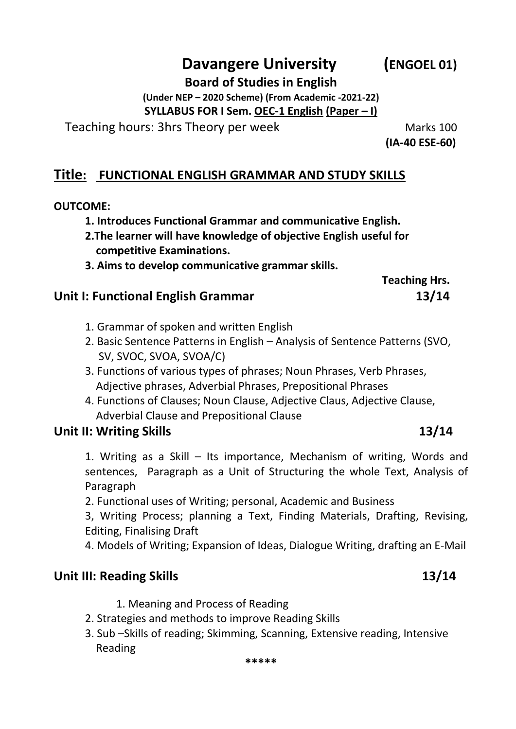# **Davangere University (ENGOEL 01)**

**Board of Studies in English**

**(Under NEP – 2020 Scheme) (From Academic -2021-22) SYLLABUS FOR I Sem. OEC-1 English (Paper – I)**

Teaching hours: 3hrs Theory per week Marks 100

**(IA-40 ESE-60)**

 **Teaching Hrs.**

### **Title: FUNCTIONAL ENGLISH GRAMMAR AND STUDY SKILLS**

#### **OUTCOME:**

- **1. Introduces Functional Grammar and communicative English.**
- **2.The learner will have knowledge of objective English useful for competitive Examinations.**
- **3. Aims to develop communicative grammar skills.**

#### **Unit I: Functional English Grammar 13/14**

- 1. Grammar of spoken and written English
- 2. Basic Sentence Patterns in English Analysis of Sentence Patterns (SVO, SV, SVOC, SVOA, SVOA/C)
- 3. Functions of various types of phrases; Noun Phrases, Verb Phrases, Adjective phrases, Adverbial Phrases, Prepositional Phrases
- 4. Functions of Clauses; Noun Clause, Adjective Claus, Adjective Clause, Adverbial Clause and Prepositional Clause

### **Unit II: Writing Skills 13/14**

1. Writing as a Skill – Its importance, Mechanism of writing, Words and sentences, Paragraph as a Unit of Structuring the whole Text, Analysis of Paragraph

2. Functional uses of Writing; personal, Academic and Business

3, Writing Process; planning a Text, Finding Materials, Drafting, Revising, Editing, Finalising Draft

4. Models of Writing; Expansion of Ideas, Dialogue Writing, drafting an E-Mail

## **Unit III: Reading Skills 13/14**

- 1. Meaning and Process of Reading
- 2. Strategies and methods to improve Reading Skills
- 3. Sub –Skills of reading; Skimming, Scanning, Extensive reading, Intensive Reading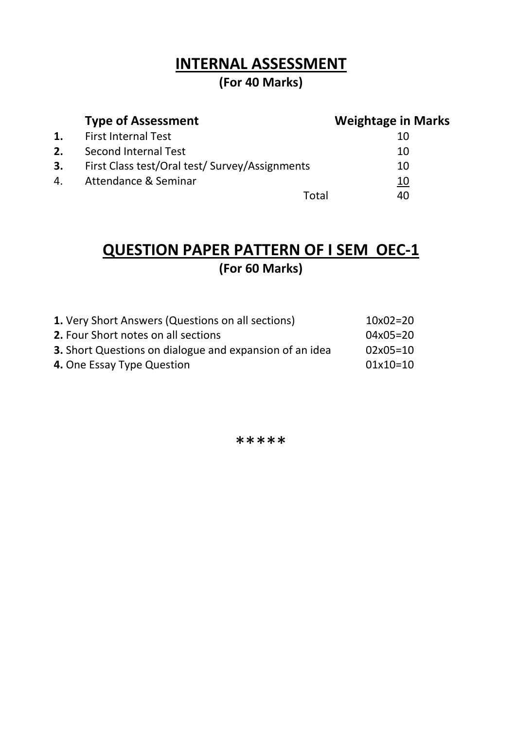## **(For 40 Marks)**

|                | <b>Type of Assessment</b>                      | <b>Weightage in Marks</b> |
|----------------|------------------------------------------------|---------------------------|
| 1.             | <b>First Internal Test</b>                     | 10                        |
| 2.             | Second Internal Test                           | 10                        |
| 3.             | First Class test/Oral test/ Survey/Assignments | 10                        |
| $\mathbf{4}$ . | Attendance & Seminar                           | 10                        |
|                | Total                                          | 40                        |

# **QUESTION PAPER PATTERN OF I SEM OEC-1 (For 60 Marks)**

| <b>1.</b> Very Short Answers (Questions on all sections)       | $10x02=20$ |
|----------------------------------------------------------------|------------|
| 2. Four Short notes on all sections                            | 04x05=20   |
| <b>3.</b> Short Questions on dialogue and expansion of an idea | $02x05=10$ |
| 4. One Essay Type Question                                     | $01x10=10$ |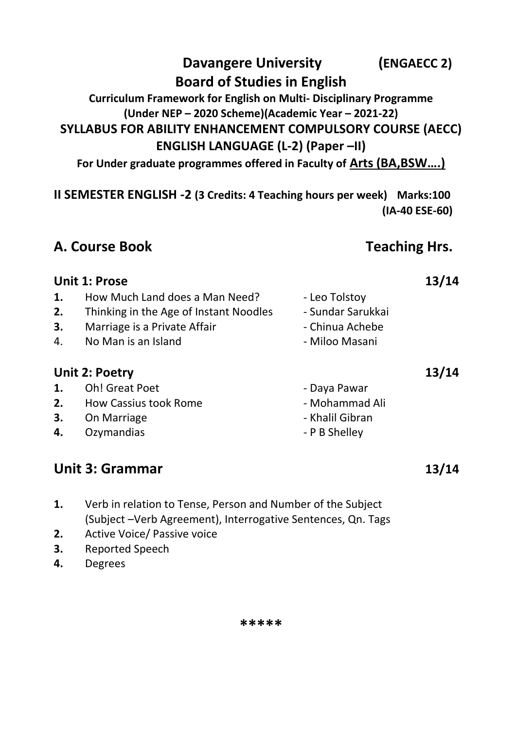## **Davangere University (ENGAECC 2) Board of Studies in English**

**Curriculum Framework for English on Multi- Disciplinary Programme (Under NEP – 2020 Scheme)(Academic Year – 2021-22) SYLLABUS FOR ABILITY ENHANCEMENT COMPULSORY COURSE (AECC)**

**ENGLISH LANGUAGE (L-2) (Paper –II)**

**For Under graduate programmes offered in Faculty of Arts (BA,BSW….)**

**II SEMESTER ENGLISH -2 (3 Credits: 4 Teaching hours per week) Marks:100 (IA-40 ESE-60)**

## A. Course Book **Teaching Hrs.**

#### **Unit 1: Prose 13/14**

**1.** How Much Land does a Man Need? - Leo Tolstoy **2.** Thinking in the Age of Instant Noodles - Sundar Sarukkai **3.** Marriage is a Private Affair **Achinua Achebe** 4. No Man is an Island **- Miloo Masani** 

#### **Unit 2: Poetry 13/14**

#### **1.** Oh! Great Poet **Access 20 Figure 2018** - Daya Pawar **2.** How Cassius took Rome **- Mohammad Ali 3.** On Marriage **1988 1988 1988 1988 1988 1988 1988 1988 1988 1988 4.** Ozymandias **a** P B Shelley

## **Unit 3: Grammar 13/14**

- **1.** Verb in relation to Tense, Person and Number of the Subject (Subject –Verb Agreement), Interrogative Sentences, Qn. Tags
- **2.** Active Voice/ Passive voice
- **3.** Reported Speech
- **4.** Degrees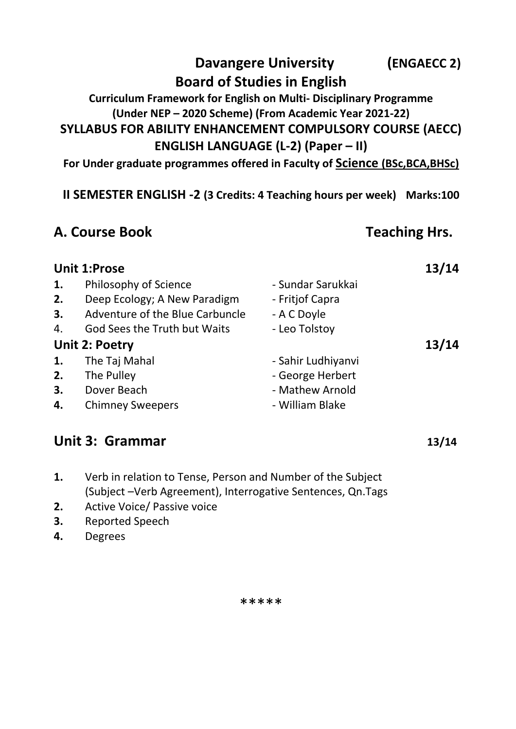## **Davangere University (ENGAECC 2) Board of Studies in English**

**Curriculum Framework for English on Multi- Disciplinary Programme (Under NEP – 2020 Scheme) (From Academic Year 2021-22) SYLLABUS FOR ABILITY ENHANCEMENT COMPULSORY COURSE (AECC) ENGLISH LANGUAGE (L-2) (Paper – II)**

**For Under graduate programmes offered in Faculty of Science (BSc,BCA,BHSc)**

**II SEMESTER ENGLISH -2 (3 Credits: 4 Teaching hours per week) Marks:100**

## **A. Course Book Teaching Hrs.**

|    | <b>Unit 1:Prose</b>             |                    | 13/14 |
|----|---------------------------------|--------------------|-------|
| 1. | Philosophy of Science           | - Sundar Sarukkai  |       |
| 2. | Deep Ecology; A New Paradigm    | - Fritjof Capra    |       |
| 3. | Adventure of the Blue Carbuncle | - A C Doyle        |       |
| 4. | God Sees the Truth but Waits    | - Leo Tolstoy      |       |
|    | <b>Unit 2: Poetry</b>           |                    | 13/14 |
| 1. | The Taj Mahal                   | - Sahir Ludhiyanvi |       |
| 2. | The Pulley                      | - George Herbert   |       |
| 3. | Dover Beach                     | - Mathew Arnold    |       |
| 4. | <b>Chimney Sweepers</b>         | - William Blake    |       |
|    | <b>Unit 3: Grammar</b>          |                    | 13/14 |

- **1.** Verb in relation to Tense, Person and Number of the Subject (Subject –Verb Agreement), Interrogative Sentences, Qn.Tags
- **2.** Active Voice/ Passive voice
- **3.** Reported Speech
- **4.** Degrees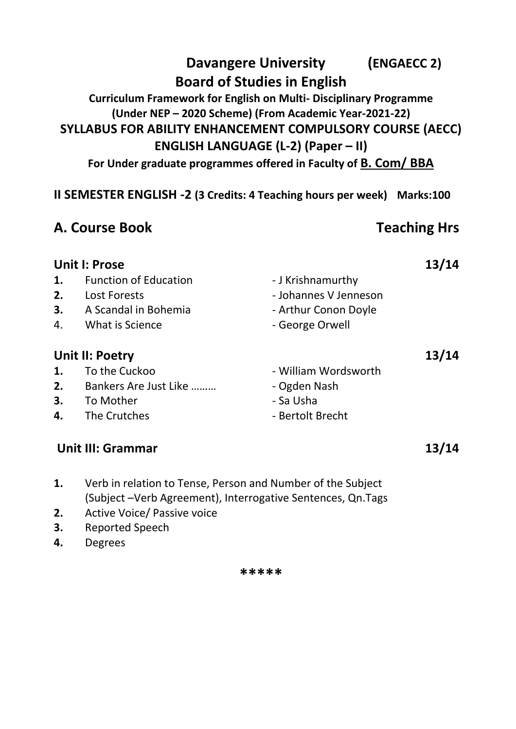## **Davangere University (ENGAECC 2) Board of Studies in English**

**Curriculum Framework for English on Multi- Disciplinary Programme (Under NEP – 2020 Scheme) (From Academic Year-2021-22) SYLLABUS FOR ABILITY ENHANCEMENT COMPULSORY COURSE (AECC) ENGLISH LANGUAGE (L-2) (Paper – II)**

**For Under graduate programmes offered in Faculty of B. Com/ BBA**

**II SEMESTER ENGLISH -2 (3 Credits: 4 Teaching hours per week) Marks:100**

## A. Course Book Teaching Hrs

|                      | <b>Unit I: Prose</b>                                                                    |                                                                                       | 13/14 |
|----------------------|-----------------------------------------------------------------------------------------|---------------------------------------------------------------------------------------|-------|
| 1.<br>2.<br>3.<br>4. | <b>Function of Education</b><br>Lost Forests<br>A Scandal in Bohemia<br>What is Science | - J Krishnamurthy<br>- Johannes V Jenneson<br>- Arthur Conon Doyle<br>- George Orwell |       |
|                      | Unit II: Poetry                                                                         |                                                                                       | 13/14 |
| 1.<br>2.<br>3.<br>4. | To the Cuckoo<br>Bankers Are Just Like<br>To Mother<br>The Crutches                     | - William Wordsworth<br>- Ogden Nash<br>- Sa Usha<br>- Bertolt Brecht                 |       |
|                      | <b>Unit III: Grammar</b>                                                                |                                                                                       |       |

- **1.** Verb in relation to Tense, Person and Number of the Subject (Subject –Verb Agreement), Interrogative Sentences, Qn.Tags
- **2.** Active Voice/ Passive voice
- **3.** Reported Speech
- **4.** Degrees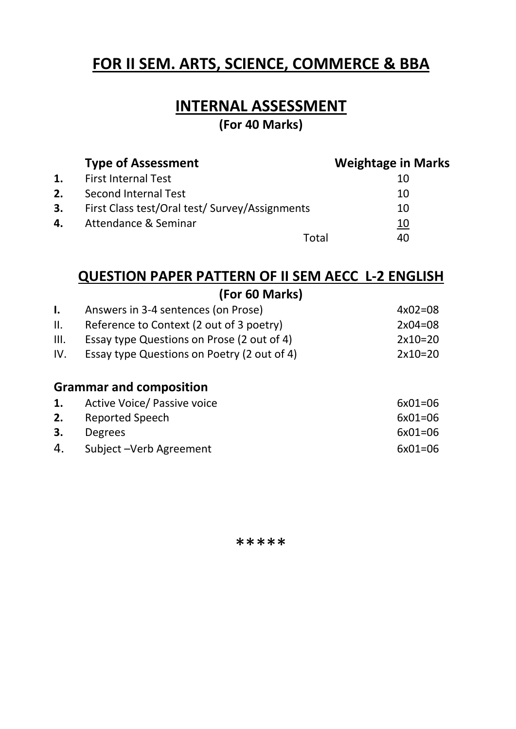# **FOR II SEM. ARTS, SCIENCE, COMMERCE & BBA**

## **INTERNAL ASSESSMENT**

**(For 40 Marks)**

|    | <b>Type of Assessment</b>                      | <b>Weightage in Marks</b> |
|----|------------------------------------------------|---------------------------|
| 1. | <b>First Internal Test</b>                     | 10                        |
| 2. | Second Internal Test                           | 10                        |
| 3. | First Class test/Oral test/ Survey/Assignments | 10                        |
| 4. | Attendance & Seminar                           | 10                        |
|    | Total                                          | 40                        |

#### **QUESTION PAPER PATTERN OF II SEM AECC L-2 ENGLISH (For 60 Marks)**

| <b>IFUL OU IVIDITS!</b> |                                             |           |  |
|-------------------------|---------------------------------------------|-----------|--|
|                         | Answers in 3-4 sentences (on Prose)         | $4x02=08$ |  |
| H.                      | Reference to Context (2 out of 3 poetry)    | $2x04=08$ |  |
| HL.                     | Essay type Questions on Prose (2 out of 4)  | $2x10=20$ |  |
| IV.                     | Essay type Questions on Poetry (2 out of 4) | $2x10=20$ |  |
|                         |                                             |           |  |

### **Grammar and composition**

| <b>1.</b> Active Voice/ Passive voice | $6x01=06$ |
|---------------------------------------|-----------|
| <b>2.</b> Reported Speech             | $6x01=06$ |
| <b>3.</b> Degrees                     | $6x01=06$ |
| 4. Subject – Verb Agreement           | $6x01=06$ |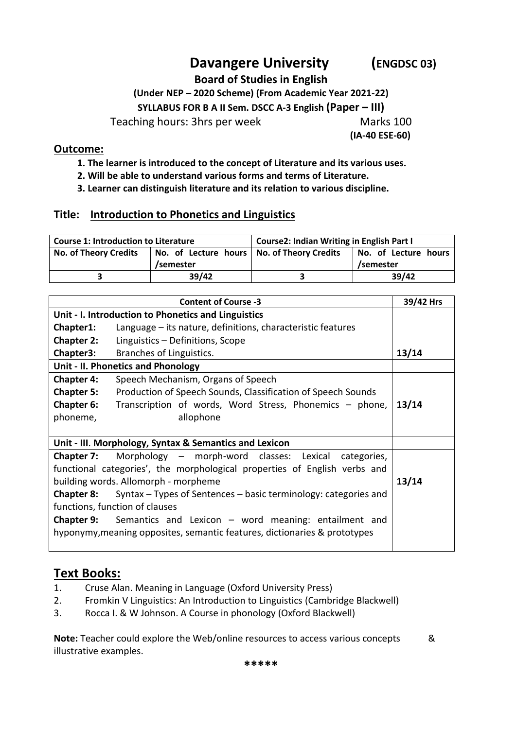## **Davangere University (ENGDSC 03)**

**Board of Studies in English**

**(Under NEP – 2020 Scheme) (From Academic Year 2021-22)**

**SYLLABUS FOR B A II Sem. DSCC A-3 English (Paper – III)**

Teaching hours: 3hrs per week Marks 100

 **(IA-40 ESE-60)**

#### **Outcome:**

- **1. The learner is introduced to the concept of Literature and its various uses.**
- **2. Will be able to understand various forms and terms of Literature.**
- **3. Learner can distinguish literature and its relation to various discipline.**

#### **Title: Introduction to Phonetics and Linguistics**

| <b>Course 1: Introduction to Literature</b> |                                                         | <b>Course2: Indian Writing in English Part I</b> |       |  |
|---------------------------------------------|---------------------------------------------------------|--------------------------------------------------|-------|--|
| <b>No. of Theory Credits</b>                | No. of Lecture hours No. of Theory Credits<br>/semester | No. of Lecture hours<br>/semester                |       |  |
|                                             | 39/42                                                   |                                                  | 39/42 |  |

|                   | <b>Content of Course -3</b>                                               | 39/42 Hrs |
|-------------------|---------------------------------------------------------------------------|-----------|
|                   | Unit - I. Introduction to Phonetics and Linguistics                       |           |
| Chapter1:         | Language – its nature, definitions, characteristic features               |           |
| <b>Chapter 2:</b> | Linguistics - Definitions, Scope                                          |           |
| Chapter3:         | Branches of Linguistics.                                                  | 13/14     |
|                   | Unit - II. Phonetics and Phonology                                        |           |
| <b>Chapter 4:</b> | Speech Mechanism, Organs of Speech                                        |           |
| <b>Chapter 5:</b> | Production of Speech Sounds, Classification of Speech Sounds              |           |
| Chapter 6:        | Transcription of words, Word Stress, Phonemics - phone,                   | 13/14     |
| phoneme,          | allophone                                                                 |           |
|                   |                                                                           |           |
|                   | Unit - III. Morphology, Syntax & Semantics and Lexicon                    |           |
| Chapter 7:        | Morphology – morph-word classes: Lexical<br>categories,                   |           |
|                   | functional categories', the morphological properties of English verbs and |           |
|                   | building words. Allomorph - morpheme                                      | 13/14     |
| <b>Chapter 8:</b> | Syntax – Types of Sentences – basic terminology: categories and           |           |
|                   | functions, function of clauses                                            |           |
|                   | <b>Chapter 9:</b> Semantics and Lexicon – word meaning: entailment and    |           |
|                   | hyponymy, meaning opposites, semantic features, dictionaries & prototypes |           |
|                   |                                                                           |           |

#### **Text Books:**

- 1. Cruse Alan. Meaning in Language (Oxford University Press)
- 2. Fromkin V Linguistics: An Introduction to Linguistics (Cambridge Blackwell)
- 3. Rocca I. & W Johnson. A Course in phonology (Oxford Blackwell)

**Note:** Teacher could explore the Web/online resources to access various concepts & illustrative examples.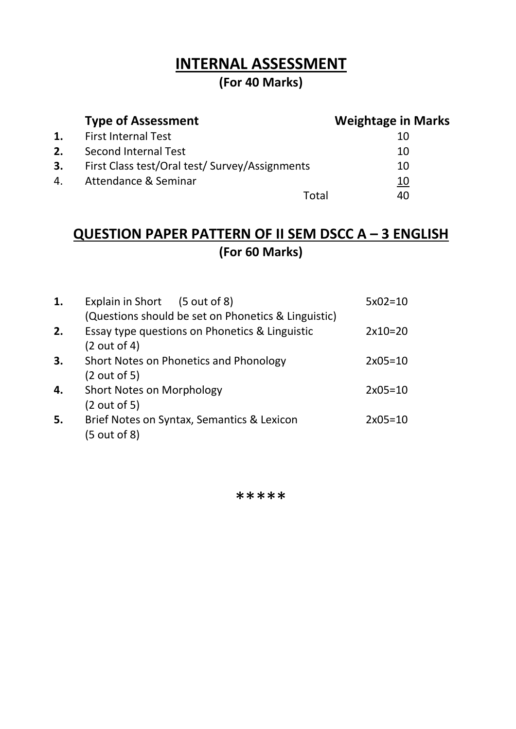## **(For 40 Marks)**

|    | <b>Type of Assessment</b>                      | <b>Weightage in Marks</b> |
|----|------------------------------------------------|---------------------------|
| 1. | <b>First Internal Test</b>                     | 10                        |
| 2. | <b>Second Internal Test</b>                    | 10                        |
| 3. | First Class test/Oral test/ Survey/Assignments | 10                        |
| 4. | Attendance & Seminar                           | 10                        |
|    | Total                                          | 40                        |

## **QUESTION PAPER PATTERN OF II SEM DSCC A – 3 ENGLISH (For 60 Marks)**

| 1. | Explain in Short (5 out of 8)                       | $5x02=10$ |
|----|-----------------------------------------------------|-----------|
|    | (Questions should be set on Phonetics & Linguistic) |           |
| 2. | Essay type questions on Phonetics & Linguistic      | $2x10=20$ |
|    | (2 out of 4)                                        |           |
| 3. | Short Notes on Phonetics and Phonology              | $2x05=10$ |
|    | (2 out of 5)                                        |           |
| 4. | <b>Short Notes on Morphology</b>                    | $2x05=10$ |
|    | (2 out of 5)                                        |           |
| 5. | Brief Notes on Syntax, Semantics & Lexicon          | $2x05=10$ |
|    | (5 out of 8)                                        |           |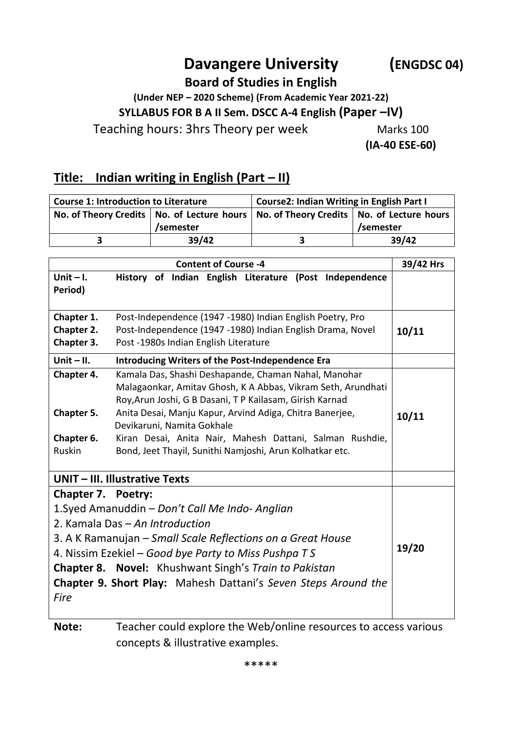# **Davangere University (ENGDSC 04)**

**Board of Studies in English**

**(Under NEP – 2020 Scheme) (From Academic Year 2021-22) SYLLABUS FOR B A II Sem. DSCC A-4 English (Paper –IV)**

Teaching hours: 3hrs Theory per week Marks 100

 **(IA-40 ESE-60)**

### **Title:** Indian writing in English (Part – II)

| <b>Course 1: Introduction to Literature</b> |           | <b>Course2: Indian Writing in English Part I</b>                                            |           |
|---------------------------------------------|-----------|---------------------------------------------------------------------------------------------|-----------|
|                                             |           | No. of Theory Credits   No. of Lecture hours   No. of Theory Credits   No. of Lecture hours |           |
|                                             | /semester |                                                                                             | /semester |
|                                             | 39/42     |                                                                                             | 39/42     |

| <b>Content of Course -4</b>                                    |                                                              |       |  |
|----------------------------------------------------------------|--------------------------------------------------------------|-------|--|
| Unit $-1$ .                                                    | History of Indian English Literature (Post Independence      |       |  |
| Period)                                                        |                                                              |       |  |
|                                                                |                                                              |       |  |
| Chapter 1.                                                     | Post-Independence (1947 -1980) Indian English Poetry, Pro    |       |  |
| Chapter 2.                                                     | Post-Independence (1947 -1980) Indian English Drama, Novel   | 10/11 |  |
| Chapter 3.                                                     | Post -1980s Indian English Literature                        |       |  |
| Unit $-$ II.                                                   | <b>Introducing Writers of the Post-Independence Era</b>      |       |  |
| Chapter 4.                                                     | Kamala Das, Shashi Deshapande, Chaman Nahal, Manohar         |       |  |
|                                                                | Malagaonkar, Amitav Ghosh, K A Abbas, Vikram Seth, Arundhati |       |  |
|                                                                | Roy, Arun Joshi, G B Dasani, T P Kailasam, Girish Karnad     |       |  |
| Chapter 5.                                                     | Anita Desai, Manju Kapur, Arvind Adiga, Chitra Banerjee,     | 10/11 |  |
|                                                                | Devikaruni, Namita Gokhale                                   |       |  |
| Chapter 6.                                                     | Kiran Desai, Anita Nair, Mahesh Dattani, Salman Rushdie,     |       |  |
| Ruskin                                                         | Bond, Jeet Thayil, Sunithi Namjoshi, Arun Kolhatkar etc.     |       |  |
|                                                                | <b>UNIT - III. Illustrative Texts</b>                        |       |  |
| Chapter 7. Poetry:                                             |                                                              |       |  |
| 1. Syed Amanuddin – Don't Call Me Indo-Anglian                 |                                                              |       |  |
| 2. Kamala Das - An Introduction                                |                                                              |       |  |
| 3. A K Ramanujan – Small Scale Reflections on a Great House    |                                                              |       |  |
| 19/20                                                          |                                                              |       |  |
| 4. Nissim Ezekiel – Good bye Party to Miss Pushpa TS           |                                                              |       |  |
| Chapter 8. Novel: Khushwant Singh's Train to Pakistan          |                                                              |       |  |
| Chapter 9. Short Play: Mahesh Dattani's Seven Steps Around the |                                                              |       |  |
| Fire                                                           |                                                              |       |  |
|                                                                |                                                              |       |  |

**Note:** Teacher could explore the Web/online resources to access various concepts & illustrative examples.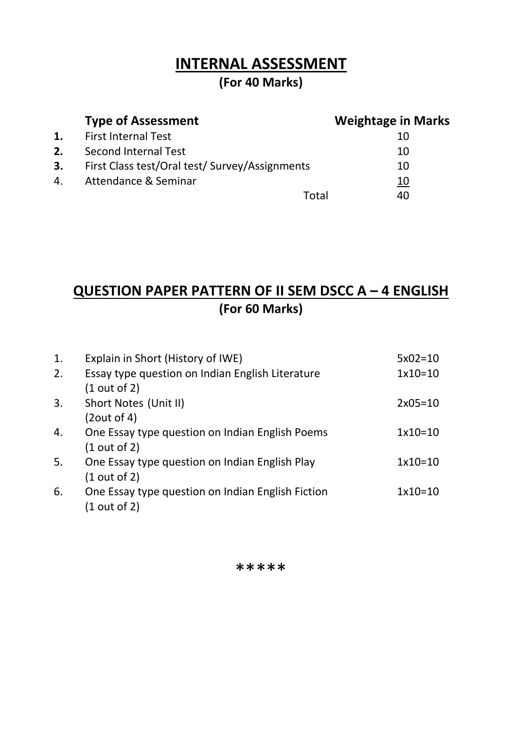## **(For 40 Marks)**

| <b>Type of Assessment</b>                      | <b>Weightage in Marks</b> |
|------------------------------------------------|---------------------------|
| <b>First Internal Test</b>                     | 10                        |
| Second Internal Test                           | 10                        |
| First Class test/Oral test/ Survey/Assignments | 10                        |
| Attendance & Seminar                           | 10                        |
|                                                | 40<br>Total               |
|                                                |                           |

## **QUESTION PAPER PATTERN OF II SEM DSCC A – 4 ENGLISH (For 60 Marks)**

| 1. | Explain in Short (History of IWE)                 | $5x02=10$ |
|----|---------------------------------------------------|-----------|
| 2. | Essay type question on Indian English Literature  | $1x10=10$ |
|    | (1 out of 2)                                      |           |
| 3. | Short Notes (Unit II)                             | $2x05=10$ |
|    | (2out of 4)                                       |           |
| 4. | One Essay type question on Indian English Poems   | $1x10=10$ |
|    | (1 out of 2)                                      |           |
| 5. | One Essay type question on Indian English Play    | $1x10=10$ |
|    | (1 out of 2)                                      |           |
| 6. | One Essay type question on Indian English Fiction | $1x10=10$ |
|    | (1 out of 2)                                      |           |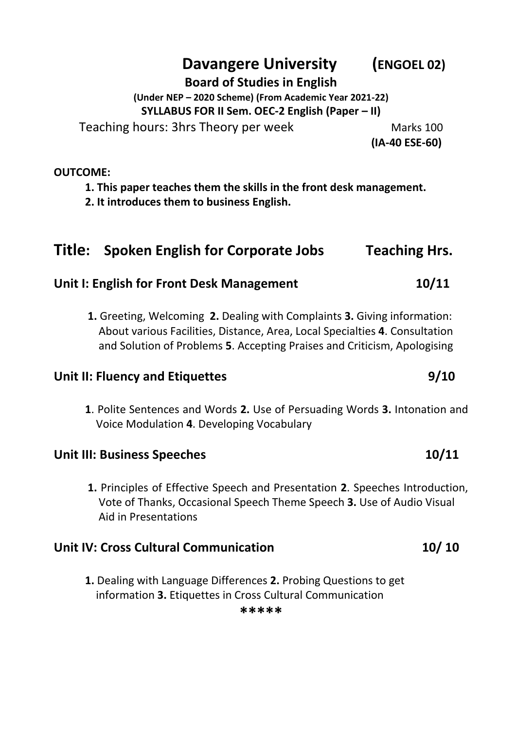# **Davangere University (ENGOEL 02)**

**Board of Studies in English**

**(Under NEP – 2020 Scheme) (From Academic Year 2021-22)**

**SYLLABUS FOR II Sem. OEC-2 English (Paper – II)**

Teaching hours: 3hrs Theory per week Marks 100

 **(IA-40 ESE-60)**

#### **OUTCOME:**

**1. This paper teaches them the skills in the front desk management.**

**2. It introduces them to business English.**

## **Title: Spoken English for Corporate Jobs Teaching Hrs.**

### Unit I: English for Front Desk Management 10/11

**1.** Greeting, Welcoming **2.** Dealing with Complaints **3.** Giving information: About various Facilities, Distance, Area, Local Specialties **4**. Consultation and Solution of Problems **5**. Accepting Praises and Criticism, Apologising

#### **Unit II: Fluency and Etiquettes 6.1 April 1998 10 April 10 April 10 April 10 April 10 April 10 April 10 April 10 April 10 April 10 April 10 April 10 April 10 April 10 April 10 April 10 April 10 April 10 April 10 April 10**

**1**. Polite Sentences and Words **2.** Use of Persuading Words **3.** Intonation and Voice Modulation **4**. Developing Vocabulary

#### **Unit III: Business Speeches** 10/11

**1.** Principles of Effective Speech and Presentation **2**. Speeches Introduction, Vote of Thanks, Occasional Speech Theme Speech **3.** Use of Audio Visual Aid in Presentations

#### **Unit IV: Cross Cultural Communication 10/ 10**

**1.** Dealing with Language Differences **2.** Probing Questions to get information **3.** Etiquettes in Cross Cultural Communication **\*\*\*\*\***